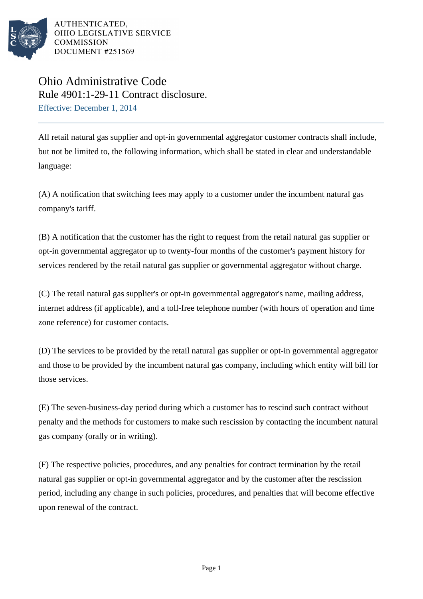

AUTHENTICATED. OHIO LEGISLATIVE SERVICE **COMMISSION DOCUMENT #251569** 

## Ohio Administrative Code Rule 4901:1-29-11 Contract disclosure. Effective: December 1, 2014

All retail natural gas supplier and opt-in governmental aggregator customer contracts shall include, but not be limited to, the following information, which shall be stated in clear and understandable language:

(A) A notification that switching fees may apply to a customer under the incumbent natural gas company's tariff.

(B) A notification that the customer has the right to request from the retail natural gas supplier or opt-in governmental aggregator up to twenty-four months of the customer's payment history for services rendered by the retail natural gas supplier or governmental aggregator without charge.

(C) The retail natural gas supplier's or opt-in governmental aggregator's name, mailing address, internet address (if applicable), and a toll-free telephone number (with hours of operation and time zone reference) for customer contacts.

(D) The services to be provided by the retail natural gas supplier or opt-in governmental aggregator and those to be provided by the incumbent natural gas company, including which entity will bill for those services.

(E) The seven-business-day period during which a customer has to rescind such contract without penalty and the methods for customers to make such rescission by contacting the incumbent natural gas company (orally or in writing).

(F) The respective policies, procedures, and any penalties for contract termination by the retail natural gas supplier or opt-in governmental aggregator and by the customer after the rescission period, including any change in such policies, procedures, and penalties that will become effective upon renewal of the contract.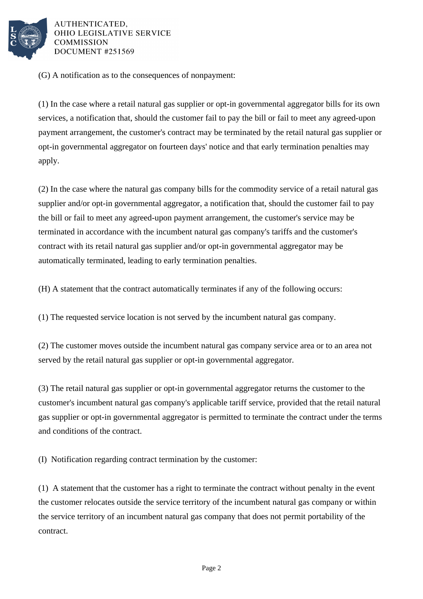

AUTHENTICATED. OHIO LEGISLATIVE SERVICE **COMMISSION DOCUMENT #251569** 

(G) A notification as to the consequences of nonpayment:

(1) In the case where a retail natural gas supplier or opt-in governmental aggregator bills for its own services, a notification that, should the customer fail to pay the bill or fail to meet any agreed-upon payment arrangement, the customer's contract may be terminated by the retail natural gas supplier or opt-in governmental aggregator on fourteen days' notice and that early termination penalties may apply.

(2) In the case where the natural gas company bills for the commodity service of a retail natural gas supplier and/or opt-in governmental aggregator, a notification that, should the customer fail to pay the bill or fail to meet any agreed-upon payment arrangement, the customer's service may be terminated in accordance with the incumbent natural gas company's tariffs and the customer's contract with its retail natural gas supplier and/or opt-in governmental aggregator may be automatically terminated, leading to early termination penalties.

(H) A statement that the contract automatically terminates if any of the following occurs:

(1) The requested service location is not served by the incumbent natural gas company.

(2) The customer moves outside the incumbent natural gas company service area or to an area not served by the retail natural gas supplier or opt-in governmental aggregator.

(3) The retail natural gas supplier or opt-in governmental aggregator returns the customer to the customer's incumbent natural gas company's applicable tariff service, provided that the retail natural gas supplier or opt-in governmental aggregator is permitted to terminate the contract under the terms and conditions of the contract.

(I) Notification regarding contract termination by the customer:

(1) A statement that the customer has a right to terminate the contract without penalty in the event the customer relocates outside the service territory of the incumbent natural gas company or within the service territory of an incumbent natural gas company that does not permit portability of the contract.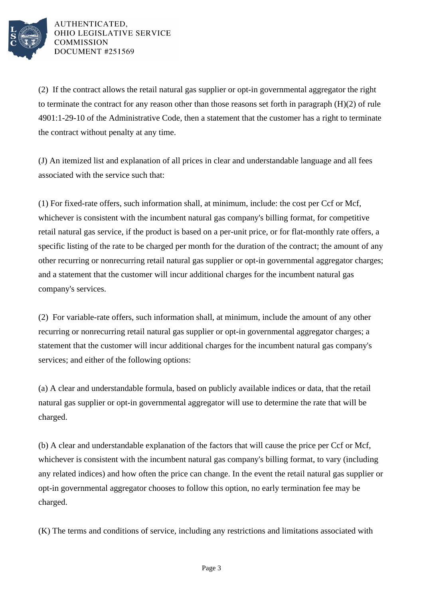

AUTHENTICATED, OHIO LEGISLATIVE SERVICE **COMMISSION DOCUMENT #251569** 

(2) If the contract allows the retail natural gas supplier or opt-in governmental aggregator the right to terminate the contract for any reason other than those reasons set forth in paragraph  $(H)(2)$  of rule 4901:1-29-10 of the Administrative Code, then a statement that the customer has a right to terminate the contract without penalty at any time.

(J) An itemized list and explanation of all prices in clear and understandable language and all fees associated with the service such that:

(1) For fixed-rate offers, such information shall, at minimum, include: the cost per Ccf or Mcf, whichever is consistent with the incumbent natural gas company's billing format, for competitive retail natural gas service, if the product is based on a per-unit price, or for flat-monthly rate offers, a specific listing of the rate to be charged per month for the duration of the contract; the amount of any other recurring or nonrecurring retail natural gas supplier or opt-in governmental aggregator charges; and a statement that the customer will incur additional charges for the incumbent natural gas company's services.

(2) For variable-rate offers, such information shall, at minimum, include the amount of any other recurring or nonrecurring retail natural gas supplier or opt-in governmental aggregator charges; a statement that the customer will incur additional charges for the incumbent natural gas company's services; and either of the following options:

(a) A clear and understandable formula, based on publicly available indices or data, that the retail natural gas supplier or opt-in governmental aggregator will use to determine the rate that will be charged.

(b) A clear and understandable explanation of the factors that will cause the price per Ccf or Mcf, whichever is consistent with the incumbent natural gas company's billing format, to vary (including any related indices) and how often the price can change. In the event the retail natural gas supplier or opt-in governmental aggregator chooses to follow this option, no early termination fee may be charged.

(K) The terms and conditions of service, including any restrictions and limitations associated with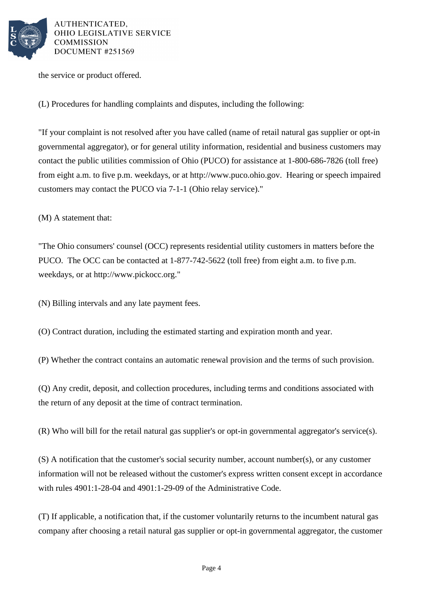

AUTHENTICATED. OHIO LEGISLATIVE SERVICE **COMMISSION DOCUMENT #251569** 

the service or product offered.

(L) Procedures for handling complaints and disputes, including the following:

"If your complaint is not resolved after you have called (name of retail natural gas supplier or opt-in governmental aggregator), or for general utility information, residential and business customers may contact the public utilities commission of Ohio (PUCO) for assistance at 1-800-686-7826 (toll free) from eight a.m. to five p.m. weekdays, or at http://www.puco.ohio.gov. Hearing or speech impaired customers may contact the PUCO via 7-1-1 (Ohio relay service)."

(M) A statement that:

"The Ohio consumers' counsel (OCC) represents residential utility customers in matters before the PUCO. The OCC can be contacted at 1-877-742-5622 (toll free) from eight a.m. to five p.m. weekdays, or at http://www.pickocc.org."

(N) Billing intervals and any late payment fees.

(O) Contract duration, including the estimated starting and expiration month and year.

(P) Whether the contract contains an automatic renewal provision and the terms of such provision.

(Q) Any credit, deposit, and collection procedures, including terms and conditions associated with the return of any deposit at the time of contract termination.

(R) Who will bill for the retail natural gas supplier's or opt-in governmental aggregator's service(s).

(S) A notification that the customer's social security number, account number(s), or any customer information will not be released without the customer's express written consent except in accordance with rules 4901:1-28-04 and 4901:1-29-09 of the Administrative Code.

(T) If applicable, a notification that, if the customer voluntarily returns to the incumbent natural gas company after choosing a retail natural gas supplier or opt-in governmental aggregator, the customer